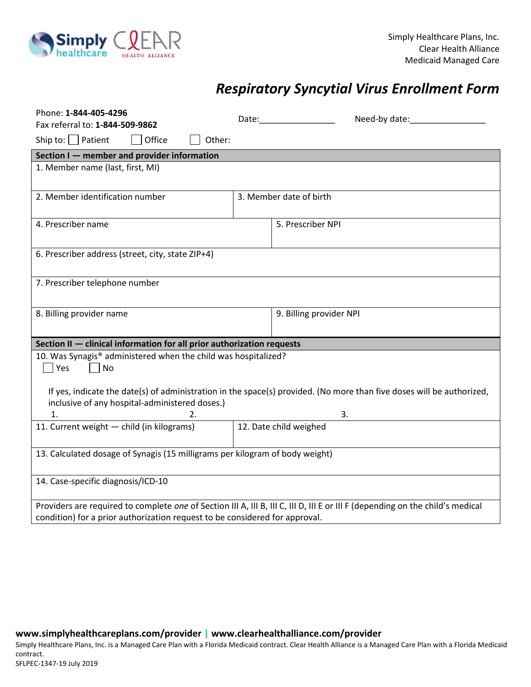

## *Respiratory Syncytial Virus Enrollment Form*

| Phone: 1-844-405-4296                                                                                                                                                   |                         | Need-by date:<br>Date:____________________ |  |  |
|-------------------------------------------------------------------------------------------------------------------------------------------------------------------------|-------------------------|--------------------------------------------|--|--|
| Fax referral to: 1-844-509-9862                                                                                                                                         |                         |                                            |  |  |
| Ship to: $\Box$ Patient<br>Office<br>Other:                                                                                                                             |                         |                                            |  |  |
| Section I - member and provider information                                                                                                                             |                         |                                            |  |  |
| 1. Member name (last, first, MI)                                                                                                                                        |                         |                                            |  |  |
| 2. Member identification number                                                                                                                                         | 3. Member date of birth |                                            |  |  |
| 4. Prescriber name                                                                                                                                                      |                         | 5. Prescriber NPI                          |  |  |
| 6. Prescriber address (street, city, state ZIP+4)                                                                                                                       |                         |                                            |  |  |
| 7. Prescriber telephone number                                                                                                                                          |                         |                                            |  |  |
| 8. Billing provider name                                                                                                                                                |                         | 9. Billing provider NPI                    |  |  |
| Section II - clinical information for all prior authorization requests                                                                                                  |                         |                                            |  |  |
| 10. Was Synagis® administered when the child was hospitalized?<br> Yes<br>No                                                                                            |                         |                                            |  |  |
| If yes, indicate the date(s) of administration in the space(s) provided. (No more than five doses will be authorized,<br>inclusive of any hospital-administered doses.) |                         |                                            |  |  |
| 1.                                                                                                                                                                      |                         | 3.                                         |  |  |
| 11. Current weight - child (in kilograms)                                                                                                                               | 12. Date child weighed  |                                            |  |  |
| 13. Calculated dosage of Synagis (15 milligrams per kilogram of body weight)                                                                                            |                         |                                            |  |  |
| 14. Case-specific diagnosis/ICD-10                                                                                                                                      |                         |                                            |  |  |
| Providers are required to complete one of Section III A, III B, III C, III D, III E or III F (depending on the child's medical                                          |                         |                                            |  |  |
| condition) for a prior authorization request to be considered for approval.                                                                                             |                         |                                            |  |  |

**www.simplyhealthcareplans.com/provider | www.clearhealthalliance.com/provider** 

Simply Healthcare Plans, Inc. is a Managed Care Plan with a Florida Medicaid contract. Clear Health Alliance is a Managed Care Plan with a Florida Medicaid contract. SFLPEC-1347-19 July 2019